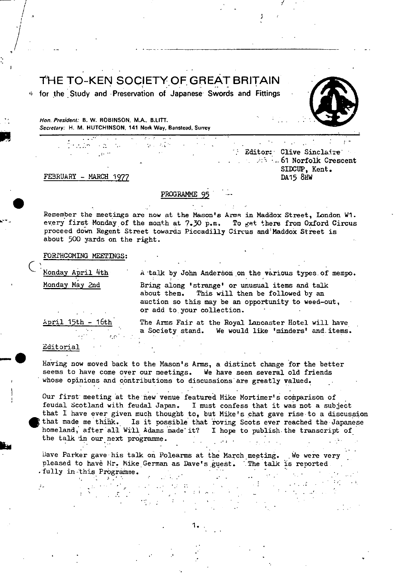THE TO-KEN SOC!ETYOF GREAT BRITAIN

**for the 'Study and . Preservation of Japanese Swords and Fittings** 

 $\mathbb{C}^{n-1}$ 

**Hon. P,esident: B. W. ROBINSON, MA., B.LITT.**  Secretary: H. M. HUTCHINSON, 141 Nork Way, Banstead, Surrey

t.

**61 Norfolk Crescent** SIDCUP, Kent.<br>DA15 8HW

 $\sim 100$ 

I

 $FEBRUARY - MARCH 1977$ 

 $\sim 1.1$  $\mathcal{F}(\mathcal{F},\mathcal{E},\mathcal{D})\subset\mathfrak{L}^+$ 

PROGRAMME 95

**• Remember the n** Remember the meetings are now at the Mason's Arms in Maddox Street, London W1. every first Monday of the month at  $7.30$  p.m. To get there from Oxford Circus proceed down Regent Street towards Piccadilly Circus and Maddox Street is about 500 yards on the right.

-. .. . Edit or Olive Sinclaiie

FORTHCOMING MEETINGS:

Monday April 4th - A talk by John Anderson on the various types of mempo.

Monday May 2nd Bring along 'strange' or unusual items and talk about them. This will then be followed by an auction so this may be an opportunity to weed-out, or add to your collection.

 $April 15th - 16th$  The Arms Fair at the Royal Lancaster Hotel will have a Society stand. We would like 'minders' and. items.

- 1

Editorial

 $\sim$ 

Having now moved back to the Mason's Arms, a distinct change for the better seems to have come over our meetings. We have seen several old friends whose opinions and contributions to discussions are greatly valued.

Our first meeting at the new venue featured Mike Mortimer's comparison of feudal Scotland with feudal Japan. I must confess that it was not a subject that I have ever given much thought to, but Mike's chat gave rise-to a discussion that made me think. Is it possible that roving Scots ever reached the Japanese homeland, after all Will Adams made it? I hope to publish the transcript of the talk in our next programme.

Dave Parker gave his talk on Polearms at the March meeting. We were very pleased to have Mr. Mike German as Dave's guest. The talk is reported. fully in this Programme.  $\mathcal{A}_{\rm{max}}$ 



1.

با با المعامل المعامل المعامل المعامل المعامل المعامل المعامل المعامل المعامل المعامل المعامل المعامل المعامل<br>و المعامل المعامل المعامل المعامل المعامل المعامل المعامل المعامل المعامل المعامل المعامل المعامل المعامل المع<br>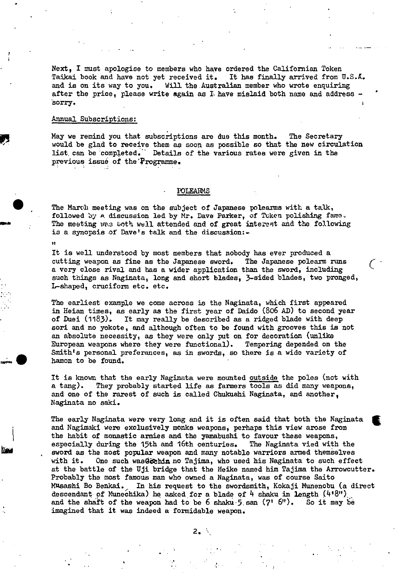Next, I must apologise to members who have ordered the Californian Token Taikai book and have not yet received it. It has finally arrived from  $U.S.A.$ and is on its way to you. Will the Australian member who wrote enquiring after the price, please write again as  $I$  have mislaid both name and address sorry.

# Annual Subscriptions:

May we remind you that subscriptions are due this month. The Secretary would be glad to receive them as soon as possible so that the new circulation list, can be cOmpleted. Details of the various rates were given in the previous issue of the 'Programme.

### POLEARMS

The March meeting was on the subject of Japanese polearms with a talk, followed by a discussion led by Mr. Dave Parker, of Token polishing fame. The meeting was both well attended and of great interest and the following is a synopsis of Dave's talk and the discussion;-

I'

It is well understood by most members that nobody has ever produced a cutting weapon as fine as the Japanese sword. The Japanese polearn runs a very close rival and has a wider application than the sword, including such things as Naginata, long and short blades, 3-sided blades, two pronged, L-shaped, cruciform etc. etc.

The earliest example we come across is the Naginata, which first appeared in Heian times, as early as the first year of Daido (806 AD) to second year of Duei (1183). It may really be described as a ridged blade with deep sori and no yokote, and although often to be found with grooves this is not an absolute necessity, as they were only put on for decoration (unlike European weapons where they were functional). Tempering depended on the Smith's personal preferances, as in swords, so there is a wide variety of hamon to be found.

It is known that the early Naginata were mounted outside the poles (not with a tang). They probably started life as farmers tools as did many weapons, and one of the rarest of such is called Chukushi Naginata, and another, Naginata no saki.

The early Naginata were very long and it is often said that both the Naginata and Nagimaki were exclusively monks weapons, perhaps this view arose from the habit of monastic armies and the yamabushi to favour these weapons, especially during the 15th and 16th centuries. The Naginata vied with the sword as the most popular weapon and many notable warriors armed themselves with it. One such was Gothin no Tajima, who used his Naginata to such effect at the battle of the Uji bridge that the Heike named him Tajima the Arrowcutter. Probably the most famous man who owned a Naginata, was of course Saito Musashi Bo Benkai. In his request to the swordsmith, Kokaji Munenobu (a direct descendant of Munechika) he asked for a blade of  $4$  shaku in length  $(4.6")$ . and the shaft of the weapon had to be 6 shaku  $5$  san  $(7'$  6"). So it may be imagined that it was indeed a formidable weapon.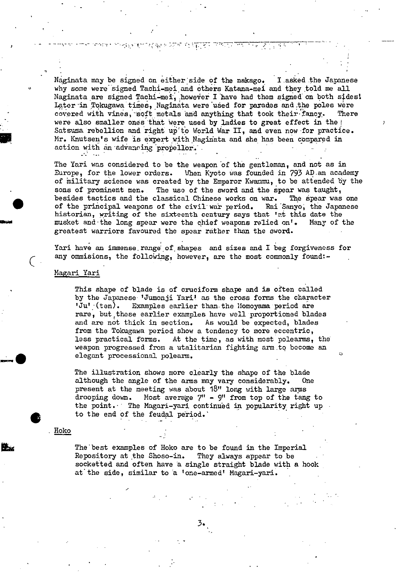Náginata may be signed on either side of the nakago. I asked the Japanese why some were signed Tachi-mei and others Katana-mei and they told me all Naginata are signed Tachi-mei, however I have had them signed on both sides! Later in Tokugawa times, Naginata were used for parades and the poles were covered with vines, soft metals and anything that took their fancy. There were also smaller ones that were used by ladies to great effect in the Satsuma rebellion and right up'to World War II, and even now for practice. Mr. Knutsen's wife is expert with Naginata and she has been compared in action with an advancing propellor.

का प्<sub>र</sub>िक प्रकार *म*र

The Yari was considered to be the weapon of the gentleman, and not as in Europe, for the lower orders. When Kyoto was founded in 793 AD an academy of military science was created by the Emperor Kwammu, to be attended by the sons of prominent men. The use of the sword and the spear was taught, besides tactics and the classical Chinese works on war. The spear was one of the principal weapons of the civil war period. Rai Sanyo, the Japanese of the principal weapons of the civil war period. historian, writing of the sixteenth century says that 'et this date the musket and the long spear were the chief weapons relied on'. Many of the greatest warriors favoured the spear rather than the sword.

Yari have an immense, range of shapes and sizes and I beg forgiveness for any ommisions, the following, however, are the most commonly found: -

### Magari Yari

 $\overline{C}$ 

-

This shape of blade is of cruciform shape and is often called by the Japanese 'Jumonji Yari' as the cross forms the character 'Ju' (ten). Examples earlier than the Homoyama period are rare, but these earlier examples have well proportioned blades and are not thick in section. As would be expected, blades from the Tokugawa period show a tendency to more eccentric, less practical forms. At the time, as with most polearms. At the time, as with most polearms, the weapon progressed from a utalitarian fighting arm to become an elegant processional polearm.

The illustration shows more clearly the shape of the blade although the angle of the arms may vary considerably. One present at the meeting was about  $18$ " long with large arms drooping down. Most average  $7'' - 9''$  from top of the tang to the point. The Magari-yari continued in popularity right up to the end of the feudal period.'

Hoko - -

The'best examples of Hoko are to be found in the Imperial Repository at the Shoso-in. They always appear to be socketted and often have a single straight blade with a hook at the side, similar to a 'one-armed' Magari-yari.

y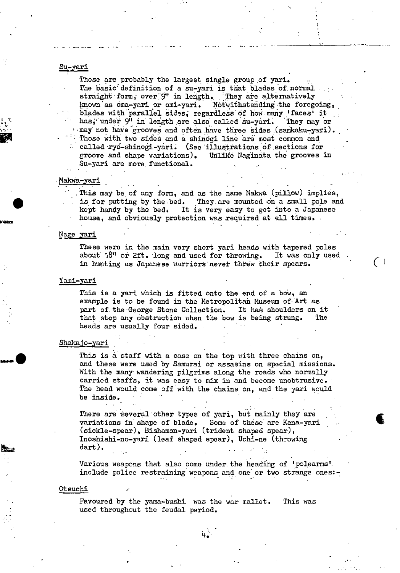## Su-yari

These are probably the largest single group of yari. The basic definition of a su-yari is that blades of normal straight form, over<sup>9"</sup> in length. They are alternatively known as oma-yari or omi-yari. Notwithstanding the foregoing, blades with parallel sides, regardless of how many 'faces' it has, under 9" in length are also called su-yari. They may or has, under 9" in length are also called su-yari. may not have grooves and often have three sides (samkaku-yari). Those with two sides and a shinogi line are most common and called ryo-shinogi-yari. (See illustrations of sections for groove and shape variations). Unlike Naginata the grooves: Unlike Naginata the grooves in Su-yari are more functional.

### Makwa-yari

This may be of any form, and as the name Makwa (pillow) implies, is for putting by the bed. They. are mounted on a small pole and kept handy by the bed. It is very easy to get into a Japanese house, and obviously protection was required at all times.

### Nage yari '

These were in the main very short yari heads with tapered poles about 18" or 2ft. long and used for throwing. It was only used in hunting as Japanese warriors never threw their spears.

### Yami-yari

This is a yari which is fitted onto the end of a bow, an example is to be found in the Metropolitan Museum of Art as part of the George Stone Collection. It has shoulders on it that stop any obstruction when the bow is being strung. The heads are usually four sided.

## Shakajo-yari

This is a staff with a case on the top with three chains on, and these were used by Samurai or assasins on special missions. With the many' wandering pilgrims along the roads who normally carried staffs, it was easy to mix in and become unobtrusive. The head would come off with the chains on, and the yari would be inside.

There are several other types of yari, but mainly they are variations in shape of blade. Some of these are Kana-yari (sickle-spear), Bishamon-yari (trident shaped spear), Inoskishi-no-yari (leaf shaped spear), Uchi-ne (throwing dart).

Various weapons that also come under the heading of 'polearms'. include police restraining weapons and one or two strange ones:-

### Otsuchi

Favoured by the yama-bushi was the war mallet. This was used throughout the feudal period.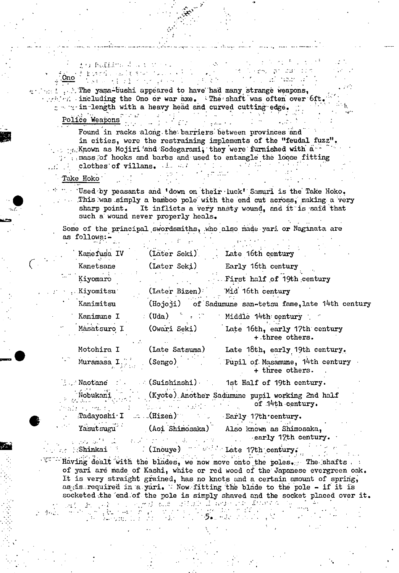$\frac{\mathsf{Ono}}{\mathsf{Ono}}$  ,  $\frac{\mathsf{Ono}}{\mathsf{Ono}}$  ,  $\frac{\mathsf{Ono}}{\mathsf{Ono}}$  ,  $\frac{\mathsf{Ono}}{\mathsf{Ono}}$  ,  $\frac{\mathsf{Ono}}{\mathsf{Ono}}$  ,  $\frac{\mathsf{Ono}}{\mathsf{Ono}}$  ,  $\frac{\mathsf{Ono}}{\mathsf{Ono}}$  ,  $\frac{\mathsf{Ono}}{\mathsf{Ono}}$ ........ The yama-bushi appeared to have had many strange weapons, which including the Ono or war axe. The shaft was often over 6ft the matrix in length with a heavy head and curved cutting edge. Police Weapons

 $\mathcal{L}_{\text{max}}$ 

العارف للمتعانيات

i en produción

žiu Bollima dova voja.

そまのかない (出版する) フィルティチ

Found in racks along the barriers between provinces and in cities, were the restraining implements of the "feudal fuzz"  $\sim$   $\pm$  Known as Mojiri and Sodegarami, they were furnished with a  $^{-1}$ The mass of hooks and barbs and used to entangle the loose fitting clothes of villans. He was the compact of the ارك الكليو

Take Hoko

'Used by peasants and 'down on their luck' Samuri is the Take Hoko. This was simply a bamboo pole with the end cut across, making a very sharp point. It inflicts a very nasty wound, and it is said that such a wound never properly heals.

Some of the principal swordsmiths, who also made yari or Naginata are  $\label{eq:2.1} \frac{1}{2} \left( \frac{1}{2} \left( \frac{1}{2} \right) \right) \left( \frac{1}{2} \left( \frac{1}{2} \right) \right) \left( \frac{1}{2} \left( \frac{1}{2} \right) \right) \left( \frac{1}{2} \left( \frac{1}{2} \right) \right) \left( \frac{1}{2} \left( \frac{1}{2} \right) \right) \left( \frac{1}{2} \left( \frac{1}{2} \right) \right) \left( \frac{1}{2} \left( \frac{1}{2} \right) \right) \left( \frac{1}{2} \left( \frac{1}{2} \right$ as follows:- $\mathcal{L}(\mathcal{A})$  $\mathbb{R}^{\frac{1}{2}}$ 

| Kanefusa IV                             | (Later Seki)                                                  | Late 16th century                                                                                                                                                                                                                                                                                            |
|-----------------------------------------|---------------------------------------------------------------|--------------------------------------------------------------------------------------------------------------------------------------------------------------------------------------------------------------------------------------------------------------------------------------------------------------|
| Kanetsane                               | (Later Seki)                                                  | Early 16th century                                                                                                                                                                                                                                                                                           |
| Kiyomaro                                |                                                               | First half of 19th century                                                                                                                                                                                                                                                                                   |
| Kiyomitsu                               | (Later Bizen)                                                 | Mid 16th century                                                                                                                                                                                                                                                                                             |
| Kanimitsu                               | (Hojoji)                                                      | of Sadumune san-tetsu fame, late 14th century                                                                                                                                                                                                                                                                |
| Kanimune I                              | $\mathcal{L}(\mathtt{Uda})$ . The $\mathcal{L}(\mathtt{Uda})$ | Middle 14th century The                                                                                                                                                                                                                                                                                      |
| Masatsuro I                             | (Owari Seki)                                                  | Late 16th, early 17th century<br>+ three others.                                                                                                                                                                                                                                                             |
| Motohira I                              | (Late Satsuma)                                                | Late 18th, early 19th century.                                                                                                                                                                                                                                                                               |
| Muramasa I                              | (Sengo)                                                       | Pupil of Masamune, 14th century<br>+ three others.                                                                                                                                                                                                                                                           |
| $\therefore$ Naotane $\therefore$       |                                                               | (Suishinshi) 1st Half of 19th century.                                                                                                                                                                                                                                                                       |
| Nobukani<br><b>KONSTANTING</b>          | $\mathbb{R}^n$ , and the complete $\mathbb{R}^n$              | (Kyote) Another Sadumune pupil working 2nd half<br>of 14th century.                                                                                                                                                                                                                                          |
|                                         | $\texttt{Padayoshi I}$ $\texttt{Hizen}$                       | Early 17th century.                                                                                                                                                                                                                                                                                          |
| Yasutsugu<br>and the state of the state | (Aoi Shimosaka)                                               | Also known as Shimosaka,<br>early 17th century.                                                                                                                                                                                                                                                              |
|                                         | Exhinkai (Inouye) and the 17th century.                       |                                                                                                                                                                                                                                                                                                              |
|                                         |                                                               | Having dealt with the blades, we now move onto the poles. The shafts<br>of yari are made of Kashi, white or red wood of the Japanese evergreen oak.<br>It is very straight grained, has no knots and a certain amount of spring,<br>as is required in a vari. Wow fitting the blade to the pole $-$ if it is |

socketed the end of the pole is simply shaved and the socket placed over it. านเลขาว เราะถูกหลักขึ้นขาวเลขียนปี ใน ในหลัก เร่นา เมื่อได้เลขียน<br>ในปัจจุบัน คนแบบเท่าเลขาว ประกอบ 1 เป็น หลักใส่เป็น เท่าเล้ติ เลขาว เราะถูก

.5∙.

 $\mathcal{O}(\frac{1}{2} \log \frac{1}{2})$  ,  $\mathcal{O}(\frac{1}{2} \log \frac{1}{2})$  ,  $\mathcal{O}(\frac{1}{2})$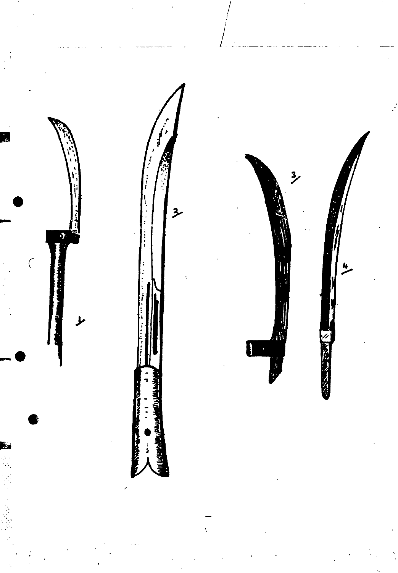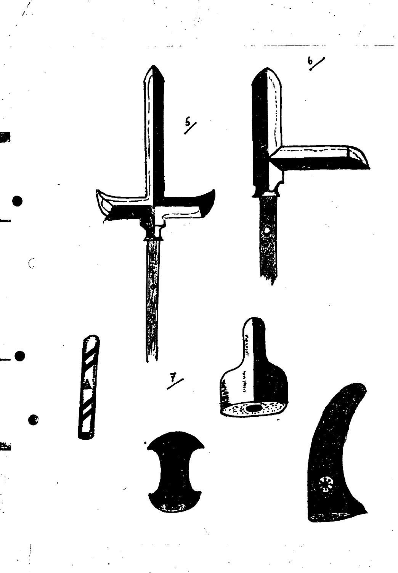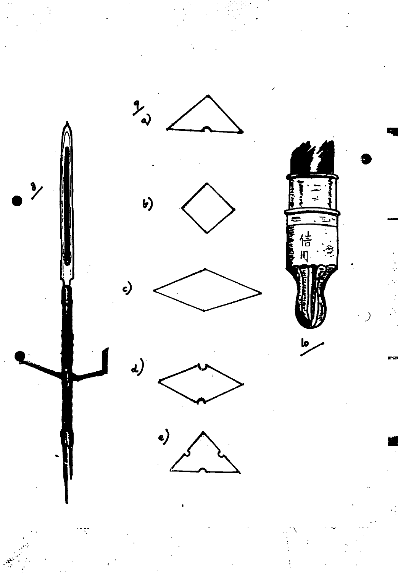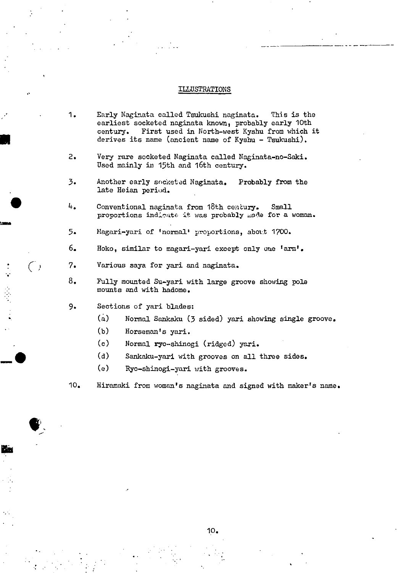# ILLUSTRATIONS

- 1. Early Naginata called Tsukushi naginata. This is the earliest socketed naginata known, probably early 10th century. First used **in** North-west Kyshu from which it derives its name (ancient name of Kyshu - Tsukushi).
- 2. Very rare socketed Naginata called Naginata-no-Saki. Used mainly in 15th and 16th century.
- 3. Another early socketad Naginata. Probably from the late Heian period.
- 4. Conventional naginata from 18th century. Small proportions indicate it was probably made for a woman.
- 5. Magari-yari of 'normal' proportions, about 1700.
- 6. Hoko, similar to magari-yari except only one 'arm <sup>1</sup> .
- 7. Various saya for yari and naginata.
- 8. Fully mounted Su-yari with large groove showing pole mounts and with hadome.
- 9. Sections of yari blades:

 $\left(\begin{array}{c} \end{array}\right)$ 

- (a) Normal Sankaku (3 sided) yari showing single groove.
- (b) Horseman's yari.
- (c) Normal ryo-shinogi (ridged) yari.
- (a) Sankaku-yari with grooves on all three sides.
- (e) Ryo-shinogi-yari with grooves.
- 10. Hiramaki from woman's naginata and signed with maker's name.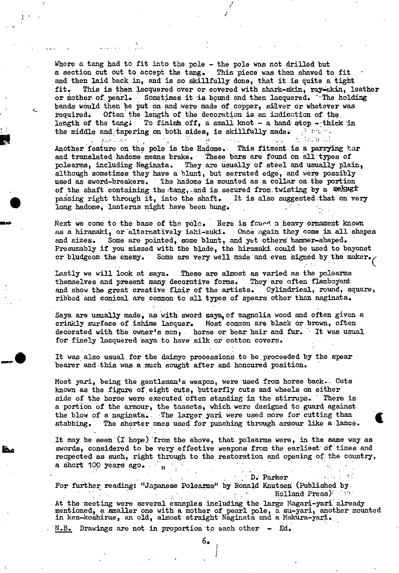Where a tang had to fit into the pole - the pole was not drilled but<br>a section cut out to accept the tang. This piece was then shaved to fit a section cut out to accept the tang. and then laid back in, and is so skillfully done, that it is quite a tight fit. This is then lacquered over or covered with shark-skin, ray-skin, leather or mother of pearl. Sometimes it is bound and then lacquered. The holding bands would then be put on and were made of copper, silver or whatever was required. Often the length of the decoration is an indication of the. length of the tang. To finish off, a small knot - a hand stop - thick in the middle and tapering on both sides, is skillfully made.

F

Another feature on the pole is the Hadome. This fitment is a parrying har and translated hadome means brake. These bars are found on all types of polearms, including Maginata. They are usually Of steel and usually plain, although sometimes they have a blunt, but serrated edge, and were possibly used as sword-breakers. The hädome is mounted as a collar on the portion of the shaft containing the tang, and is secured from twisting by a mexicity passing right through it, into the shaft. It is also suggested that on very long hadome, lanterns might have been hung.

المعارف والمحا

Next we come to the base of the polo. Here is found a heavy ornament known as a hiramaki, or alternatively ishi-zuki. Once again they come in all shapes as a hiramaki, or alternatively ishi-zuki. and sizes. Some are pointed, some blunt, and yet others hammer-shaped. Presumably if you missed with the blade, the hiramaki could be used to bayonet or bludgeon the enemy. Some are very well made and even signed by the maker.

Lastly we will look at saya. These are almost as varied as the polearms themselves and present many decorative forms. They are often flamboyant • and show the great creative flair of the artists. Cylindrical, round, square, ribbed and conical are common to all types of spears other than naginata.

Saya are usually made, as with sword saya, of magnolia wood and often given a crinkly surface of ishime lacquer. Most common are black or brown, often decorated with the owner's mon<sub>t</sub> horse or bear hair and fur. It was usual for finely lacquered saya to have silk or cotton covers.

It was also usual for the daimyo processions to be proceeded by the spear bearer and -this was a much sought after and honoured position.

 $\bullet$ 

Most yari, being the gentleman's weapon, were used from horse back... Cuts known as the figure of eight cuts, butterfly cuts and wheels on either side of the horse were executed often standing in the stirrups. There is a portion of the armour, the tassets, which were designed to guard against the blow of a naginata. The larger yari were used more for cutting than stabbing. The shorter ones used for punching through armour like a lance.

It may be seen  $(I$  hope) from the above, that polearms were, in the same way as swords, considered to be very- effective weapons from the earliest of tines and redpected as such, right through to the restoration and opening of the country, a short 100 years ago. ...

D. Parker

For further reading: "Japanese Poleans" by Ronald Knutsexi (Published by - . --- HolThndPSss)

 $\mathbf{r} \in \mathbb{R}^{n \times n}$  . The set of the set of the set of the set of the set of the set of the set of the set of the set of the set of the set of the set of the set of the set of the set of the set of the set of the set o - At the meeting were several examples including the large Magari-yari alreadr mentioned, a smaller one with a mother of pearl pole, a su-yari, another mounted in ken-koshirae, an old, almost straight Naginata and a Makura-yari.

 $N.B.$  Drawings are not in proportion to each other - Ed.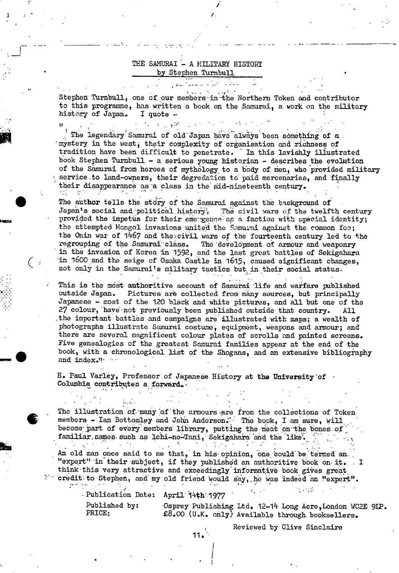# THE SAMURAI - A MILITARY HISTORY by Stephen Turnbull

Stephen Turnbull, one of our members in the Northern Token and contributor to this programme, has written a book on the Samurai, a work on the military history of Japan. I quote -

The legendary Samurai of old Japan have always been something of a mystery in the west, their complexity of organisation and richness of tradition have been difficult to penetrate. In this lavishly illustrated book Stephen Turnbull - a serious young historian - describes the evolution of the Samurai from heroes of mythology to a body of men, who provided military service to land-owners, their degredation to paid mercenaries, and finally their disappearance as a class in the mid-nineteenth century.

The author tells the story of the Samurai against the background of Japan's social and political history. The civil wars of the twelfth century provided the impetus for their emergence as a faction with special identity; the attempted Mongol invasions united the Samurai against the common foe; the Onin war of 1467 and the civil wars of the fourteenth century led to the regrouping of the Samurai class. The development of armour and weaponry in the invasion of Korea in 1592, and the last great battles of Sekigahara in 1600 and the seige of Osaka Castle in 1615, caused significant changes, not only in the Samurai's military tactics but in their social status.

This is the most authoritive account of Samurai life and warfare published outside Japan. Pictures are collected from many sources, but principally Japanese - most of the 120 black and white pictures, and all but one of the 27 colour, have not previously been published outside that country. All. the important battles and campaigns are illustrated with maps; a wealth of photographs illustrate Samurai costume, equipment, weapons and armour; and there are several magnificent colour plates of scrolls and painted screens. Five genealogies of the greatest Samurai families appear at the end of the book, with a chronological list of the Shogans, and an extensive bibliography and index."

H. Paul Varley, Professor of Japanese History at the University of Columbia contributes a forward.

The illustration of many of the armours are from the collections of Token members - Ian Bottomley and John Anderson. The book, I am sure, will become part of every members library, putting the meat on the bones of familiar names such as lchi-no-Tani, Sekigahara and the like.

An old man once said to me that, in his opinion, one could be termed an. "expert" in their subject, if they published an authoritive book on it. I think this very attractive and exceedingly informative book gives great credit to Stephen, and my old friend would say, he was indeed an "expert".

 $11.$ 

Publication Date: April 14th 1977

Published by: PRICE:

Osprey Publishing Ltd. 12-14 Long Acre, London WC2E 91P. £8.00 (U.K. only) Available through booksellers.

Reviewed by Clive Sinclaire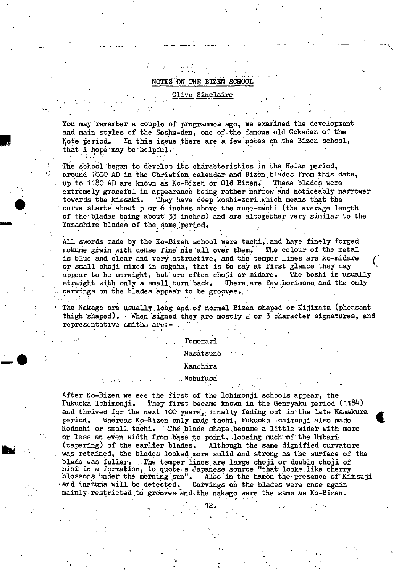# • NOTES ON THE BIZEN SCHOOL

### **Clive Sinclaire**

You may remember a couple of programmes ago, we examined the development and main styles of the Soshu-den, one of.the famous old Gokaden of the Kote-period. In this issue there are a few notes on the Bizen school, that I hope may be helpful.

The school began to develop its characteristics in the Heian period, around 1000 AD in the Christian calendar and Bizen blades from this date, up to 1180 AD are known as Ko-Bizen or Old Bizen. These blades were extremely graceful in appearance being rather harrow and noticeably narrower towards the kissaki. They have deep koshi-zori which means that the curve starts about 5 or 6 inches above the mune-machi (the average length of the blades being about 33 inches) and are altogether very similar to the Yamashire blades of the same period.

All swords made by the Ko-Bizen school were tachi, and have finely forged<br>mokume grain with dense fine nie all over them. The colour of the metal mokume grain with dense fine nie all over them. is blue and clear and very attractive, and the temper lines are ko-midare or small choji mixed in sugaha, that is to say at first glance they may appear to be straight, but are often choji or midare. The boshi is usually appear to be straight, but are often choji or midare. straight with only a small turn back. There are. few horimono and the only carvings on the blades appear to be grooves.

The Nakago are usually. long and of normal Bizen shaped or Kijimata (pheasant thigh shaped). When signed they are mostly 2 or 3 character signatures, and representative smiths are:-

# Tomonari

# Masatsune

### Kanehira

# $1 + \frac{1}{2}$   $1 + \frac{1}{2}$   $1 + \frac{1}{2}$   $1 + \frac{1}{2}$   $1 + \frac{1}{2}$   $1 + \frac{1}{2}$   $1 + \frac{1}{2}$   $1 + \frac{1}{2}$   $1 + \frac{1}{2}$   $1 + \frac{1}{2}$   $1 + \frac{1}{2}$   $1 + \frac{1}{2}$   $1 + \frac{1}{2}$   $1 + \frac{1}{2}$   $1 + \frac{1}{2}$   $1 + \frac{1}{2}$   $1 + \frac{1}{2}$   $1 + \frac{1}{2}$   $1 + \frac$

After Ko-Bizen we see the first of the Ichimonji schools appear, the Fukuoka Ichimonji. They first became known in the Genryaku period (1184) and thrived for the next 100 years, finally fading out in the late Kamakura period. Whereas Ko-Bizen only made tachi, Fukuoka Ichimonji also made Kodachi or small tachi. . The blade shape became a little wider with more or less an even width from base to point, loosing much of the Umbari-(tapering) of the earlier blades. Although the same dignified curvature was retained, the blades looked more solid and strong as the surface of the blade was fuller. . The temper, lines are large choji or double choji of nioi in a formation, to quote- a Japanese source "that looks like cherry blossoms under the morning sun". Also in the hamon the presence of Ki Also in the hamon the presence of Kinsuji and inazuna will be detected. Carvings on the blades were once again mainly restricted to grooves and the nakago were the same as Ko-Bizen.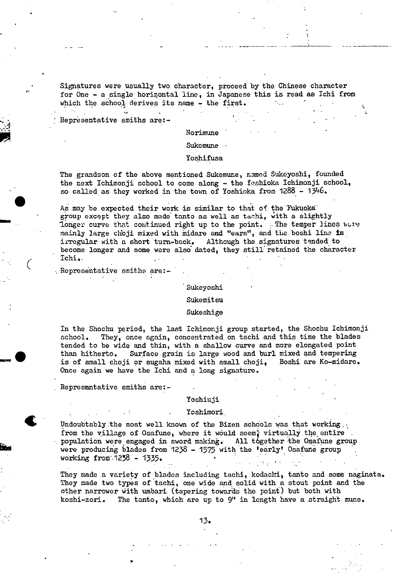Signatures were usually two character, ptoceed by the Chinese character for One - a single horizontal line, in Japanese this is read as Ichi from which the school derives **its** name - the first.

Representative smiths are:-

#### Norimune

### Sukemune

### Yoshifusa

The grandson of the above mentioned Sukemune, named Sukeyoshi, founded the next Ichimonji school to come along - the feshioka Ichimonji school, . *<sup>50</sup>*called as they worked in the town of Yoshioka from 1288 - 1346.

As may be expected their work is similar to that of the Fukuoka<sup>'</sup> group except they also made tanto as well as tathi, with a slightly longer curve that continued right up to the point. The temper lines *were* mainly large choji mixed with midare and "ears", and the boshi line is irregular with a short turn-back. Although the signatures tended to become longer and some were also dated, they still' retained the character Ichi.. •.

'Represéñtative smiths are:-

•

Sukeyoshi Sukemitsu Sukeshige

In the Shochu period, the last Ichimonji group started, the Shochu Ichimonji school. They, once again, concentrated on tachi and this time the blades tended to be wide and thin, with a shallow curve and more elongated point than hitherto. Surface grain is large wood and burl mixed and tempering **is** of small choji or sugaha mixed with small choji, Boshi are Ko-midare. Once again we have the Ichi and a long signature.

Representative smiths are:-

### Yoshiuji

### Yoshimori,

Undoubtably the most well known of the Bizen schools was that working... from the village of Osafune, where it would seem, virtually the entire population were engaged in sword making. All tégether the Osafune group were producing blades from 1238 - 1575 with the 'early' Osafune group working from.1238 - 1335.

They made a variety of blades including tachi, kodachi, tanto and some naginata. They made two types of tachi, one wide and solid with a stout point and the other narrower with umbari (tapering towards the point) but both with koshi-zori. The tanto, which are up to *9"* in length have a straight mune.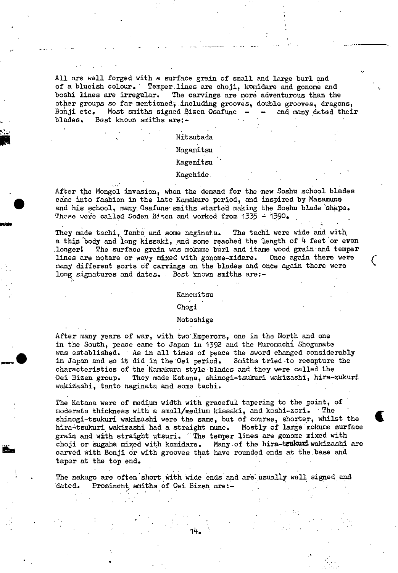All are well forged with a surface grain of small and large burl and of a blueish colour. Temper lines are choji, komidare and gonome and boshi lines are irregular. The carvings are more adventurous than the other groups so far mentioned, including grooves, double grooves, dragons, Bonji etc. Most smiths signed Bizen Osafune  $-$  and many dated their blades. Best known smiths are:-

### Mitsutada

ii is

**OWN** 

# Nagamitsu

### Kagemitsu

## Kagehidet

After the Mongol invasion, when the demand for the new Soshu school blades came into fashion in the late Kamakure period, and inspired by Masamune and his school, many. Osafune smiths started making the Soshu blade 'shape. These were called Soden Bizen and worked from  $1335 - 1390$ .

They made tachi, Tanto and some naginata. The tachi were wide and with a thin body and long kissaki, and some reached the length of 4 feet or even .longerl The surface grain was mokume burl and itame wood grain and temper lines are notare or wavy **mixed** with gonome-midare. Once again there were many different sorts of carvings on the blades and once again there were long signatures and dates. Best known smiths are:-

### Kanemitsu

# Chogi

### • Motoshige

After many years of war, with two Emperors, one in the North and one in the South, peace came to Japan in 1392 and the Muromachi Shogunate was established. As in all times of peace the sword changed considerably in Japan and so it did in the Oei period. Smiths tried to recapture the characteristics of the Kamakura style blades and they were called the Oei Bizen group. They made Katana, shinogi-tsukuri wakizashi, hira-zukuri wakizashi, tanto naginata and some tachi.

The Katana were of medium width with graceful tapering to the point, of moderate thickness with a small/medium kissaki, and koshi-zori. The shinogi-tsukuri wakizashi were the same, but of course, shorter, whilst the hira-tsukuri wakizashi had a straight mune. Mostly of large mokume surface grain and with straight utsuri. The temper lines are gonome mixed with choji or sugaha mixed with komidare. Many of the hira-tsukuri wakizashi are carved with Bonji or with grooves that have rounded ends at the base and taper at the top end.

The nakago are often short with wide ends and are usually well signed and dated. Prominent smiths of Oei Bizen are:-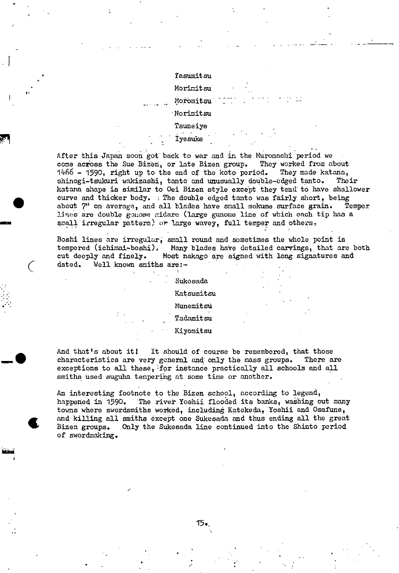Yasumitsu

Morimitsu

Moromitsu

# 'Norimitsu

Tsuneiye

'±yesuke

After this Japan soon got back to war and in the Nuromachi period we come across the Sue Bizen, or late Bizen group. They worked from about  $1466$  - 1590, right up to the end of the koto period. They made katana, shinogi-tsukuri wakizashi, tanto and unusually double-edged tanto. Their shinogi-tsukuri wakizashi, tanto and unusually double-edged tanto. katana shape is similar to Oei Bizen style except they tend to have shallower curve and thicker body. The double edged tanto was fairly short, being about  $7''$  on average, and all blades have small mokume surface grain. Temper about 7" on average, and all blades have small mokume surface grain. lines are double gonome midare (large gunome line of which each tip has a small irregular pattern) or large wavey, full temper and others.

Boshi lines are irregular, small round and sometimes the whole point is tempered (ichimal-boshi). Many blades have detailed carvings, that are both cut deeply and finely. Most nakago are signed with long signatures and dated. Well known smiths are:-

Sukosada

Katsumitsu

Munemit **sil** 

Tadamitsu Kiyomitsu

And that's about it! It should of course be remembered, that those characteristics are very general and only the mass groups. There are exceptions to all these, for instance practically all schools and all smiths used suguha tempering at some time or another.

An interesting footnote to the Bizen school, according to legend, happened in 1590. The river Yoshii flooded its banks, washing out many towns where swordsmiths worked, including Katekeda, Yoshii and Osafune, and killing all smiths except one Sukesada and thus ending all the great Bizen towns where swordsmiths worked, including Katekeda, Yoshii and Osafune, Bizen groups. Only the Sukesada line continued into the Shinto period of swordinaking.